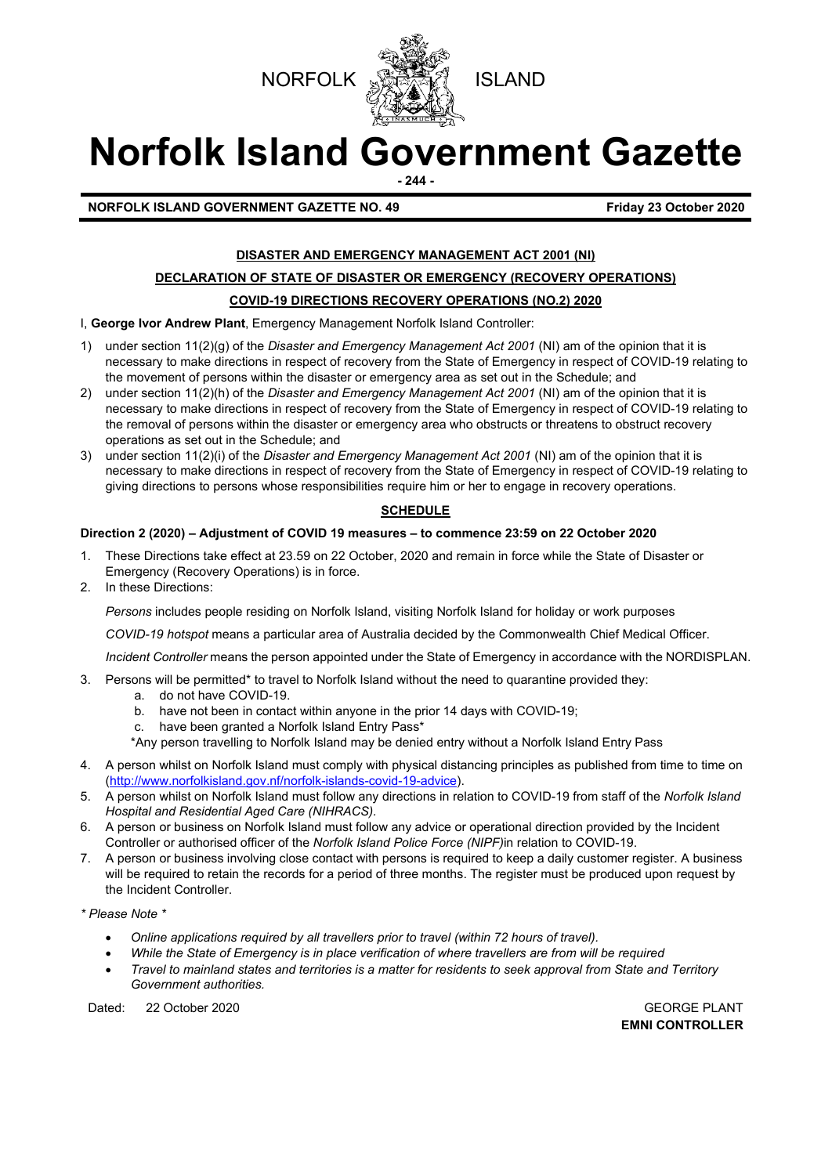



# **Norfolk Island Government Gazette**

**- 244 -**

**NORFOLK ISLAND GOVERNMENT GAZETTE NO. 49** *CONSERVERSIVE STRAND 40* **Friday 23 October 2020** 

### **DISASTER AND EMERGENCY MANAGEMENT ACT 2001 (NI)**

### **DECLARATION OF STATE OF DISASTER OR EMERGENCY (RECOVERY OPERATIONS)**

### **COVID-19 DIRECTIONS RECOVERY OPERATIONS (NO.2) 2020**

I, **George Ivor Andrew Plant**, Emergency Management Norfolk Island Controller:

- 1) under section 11(2)(g) of the *Disaster and Emergency Management Act 2001* (NI) am of the opinion that it is necessary to make directions in respect of recovery from the State of Emergency in respect of COVID-19 relating to the movement of persons within the disaster or emergency area as set out in the Schedule; and
- 2) under section 11(2)(h) of the *Disaster and Emergency Management Act 2001* (NI) am of the opinion that it is necessary to make directions in respect of recovery from the State of Emergency in respect of COVID-19 relating to the removal of persons within the disaster or emergency area who obstructs or threatens to obstruct recovery operations as set out in the Schedule; and
- 3) under section 11(2)(i) of the *Disaster and Emergency Management Act 2001* (NI) am of the opinion that it is necessary to make directions in respect of recovery from the State of Emergency in respect of COVID-19 relating to giving directions to persons whose responsibilities require him or her to engage in recovery operations.

### **SCHEDULE**

### **Direction 2 (2020) – Adjustment of COVID 19 measures – to commence 23:59 on 22 October 2020**

- 1. These Directions take effect at 23.59 on 22 October, 2020 and remain in force while the State of Disaster or Emergency (Recovery Operations) is in force.
- 2. In these Directions:

*Persons* includes people residing on Norfolk Island, visiting Norfolk Island for holiday or work purposes

*COVID-19 hotspot* means a particular area of Australia decided by the Commonwealth Chief Medical Officer.

*Incident Controller* means the person appointed under the State of Emergency in accordance with the NORDISPLAN.

- 3. Persons will be permitted\* to travel to Norfolk Island without the need to quarantine provided they:
	- a. do not have COVID-19.
	- b. have not been in contact within anyone in the prior 14 days with COVID-19;
	- c. have been granted a Norfolk Island Entry Pass\*
	- \*Any person travelling to Norfolk Island may be denied entry without a Norfolk Island Entry Pass
- 4. A person whilst on Norfolk Island must comply with physical distancing principles as published from time to time on [\(http://www.norfolkisland.gov.nf/norfolk-islands-covid-19-advice\)](http://www.norfolkisland.gov.nf/norfolk-islands-covid-19-advice).
- 5. A person whilst on Norfolk Island must follow any directions in relation to COVID-19 from staff of the *Norfolk Island Hospital and Residential Aged Care (NIHRACS).*
- 6. A person or business on Norfolk Island must follow any advice or operational direction provided by the Incident Controller or authorised officer of the *Norfolk Island Police Force (NIPF)*in relation to COVID-19.
- 7. A person or business involving close contact with persons is required to keep a daily customer register. A business will be required to retain the records for a period of three months. The register must be produced upon request by the Incident Controller.

*\* Please Note \** 

- *Online applications required by all travellers prior to travel (within 72 hours of travel).*
- *While the State of Emergency is in place verification of where travellers are from will be required*
- *Travel to mainland states and territories is a matter for residents to seek approval from State and Territory Government authorities.*

Dated: 22 October 2020 GEORGE PLANT

**EMNI CONTROLLER**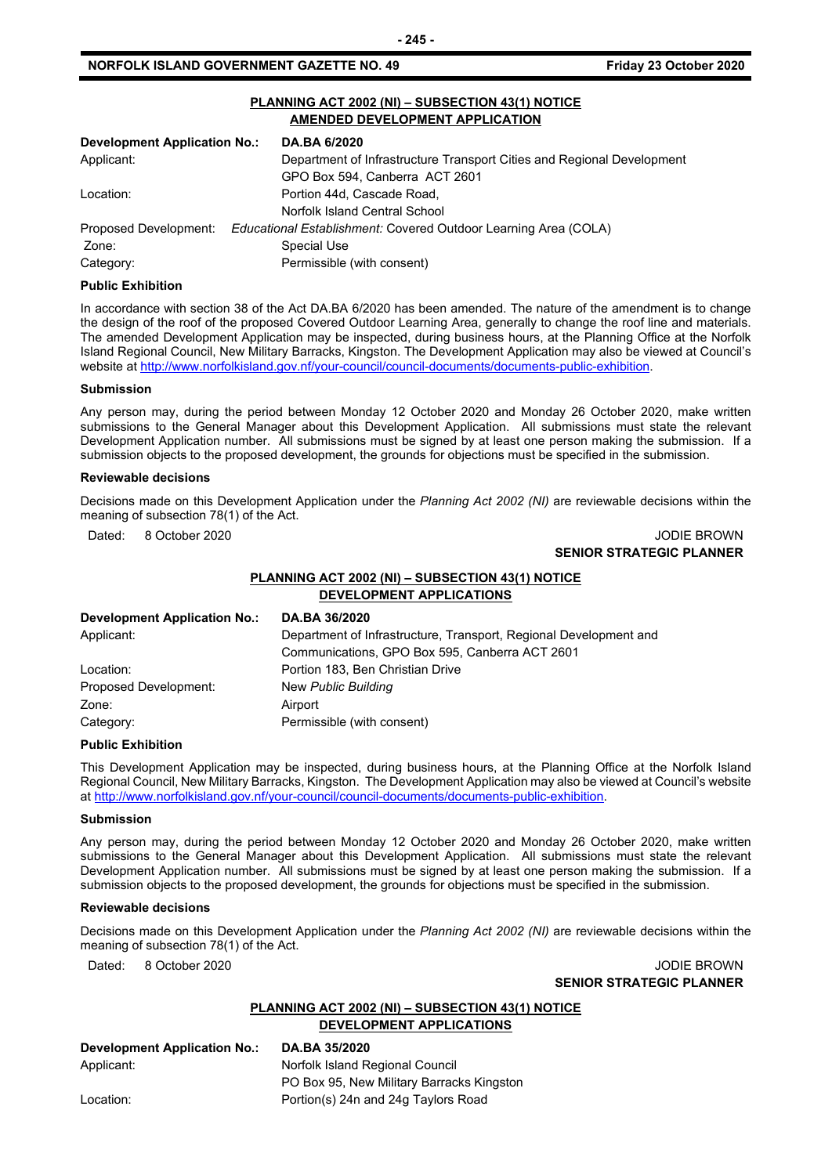### **NORFOLK ISLAND GOVERNMENT GAZETTE NO. 49** *CONSERVERSION Friday 23 October 2020*

|                                     | <b>AMENDED DEVELOPMENT APPLICATION</b>                                 |
|-------------------------------------|------------------------------------------------------------------------|
| <b>Development Application No.:</b> | <b>DA.BA 6/2020</b>                                                    |
| Applicant:                          | Department of Infrastructure Transport Cities and Regional Development |
|                                     | GPO Box 594, Canberra ACT 2601                                         |
| Location:                           | Portion 44d. Cascade Road.                                             |
|                                     | Norfolk Island Central School                                          |
| Proposed Development:               | Educational Establishment: Covered Outdoor Learning Area (COLA)        |
| Zone:                               | Special Use                                                            |
| Category:                           | Permissible (with consent)                                             |

**PLANNING ACT 2002 (NI) – SUBSECTION 43(1) NOTICE**

### **Public Exhibition**

In accordance with section 38 of the Act DA.BA 6/2020 has been amended. The nature of the amendment is to change the design of the roof of the proposed Covered Outdoor Learning Area, generally to change the roof line and materials. The amended Development Application may be inspected, during business hours, at the Planning Office at the Norfolk Island Regional Council, New Military Barracks, Kingston. The Development Application may also be viewed at Council's website a[t http://www.norfolkisland.gov.nf/your-council/council-documents/documents-public-exhibition.](http://www.norfolkisland.gov.nf/your-council/council-documents/documents-public-exhibition)

#### **Submission**

Any person may, during the period between Monday 12 October 2020 and Monday 26 October 2020, make written submissions to the General Manager about this Development Application. All submissions must state the relevant Development Application number. All submissions must be signed by at least one person making the submission. If a submission objects to the proposed development, the grounds for objections must be specified in the submission.

#### **Reviewable decisions**

Decisions made on this Development Application under the *Planning Act 2002 (NI)* are reviewable decisions within the meaning of subsection 78(1) of the Act.

Dated: 8 October 2020 JODIE BROWN

### **SENIOR STRATEGIC PLANNER**

### **PLANNING ACT 2002 (NI) – SUBSECTION 43(1) NOTICE DEVELOPMENT APPLICATIONS**

| <b>Development Application No.:</b> | DA.BA 36/2020                                                     |
|-------------------------------------|-------------------------------------------------------------------|
| Applicant:                          | Department of Infrastructure, Transport, Regional Development and |
|                                     | Communications, GPO Box 595, Canberra ACT 2601                    |
| Location:                           | Portion 183, Ben Christian Drive                                  |
| Proposed Development:               | New Public Building                                               |
| Zone:                               | Airport                                                           |
| Category:                           | Permissible (with consent)                                        |

#### **Public Exhibition**

This Development Application may be inspected, during business hours, at the Planning Office at the Norfolk Island Regional Council, New Military Barracks, Kingston. The Development Application may also be viewed at Council's website a[t http://www.norfolkisland.gov.nf/your-council/council-documents/documents-public-exhibition.](http://www.norfolkisland.gov.nf/your-council/council-documents/documents-public-exhibition)

### **Submission**

Any person may, during the period between Monday 12 October 2020 and Monday 26 October 2020, make written submissions to the General Manager about this Development Application. All submissions must state the relevant Development Application number. All submissions must be signed by at least one person making the submission. If a submission objects to the proposed development, the grounds for objections must be specified in the submission.

### **Reviewable decisions**

Decisions made on this Development Application under the *Planning Act 2002 (NI)* are reviewable decisions within the meaning of subsection 78(1) of the Act.

Dated: 8 October 2020 JODIE BROWN **SENIOR STRATEGIC PLANNER** 

### **PLANNING ACT 2002 (NI) – SUBSECTION 43(1) NOTICE DEVELOPMENT APPLICATIONS**

**Development Application No.: DA.BA 35/2020**

Applicant: Norfolk Island Regional Council PO Box 95, New Military Barracks Kingston Location: **Portion(s)** 24n and 24g Taylors Road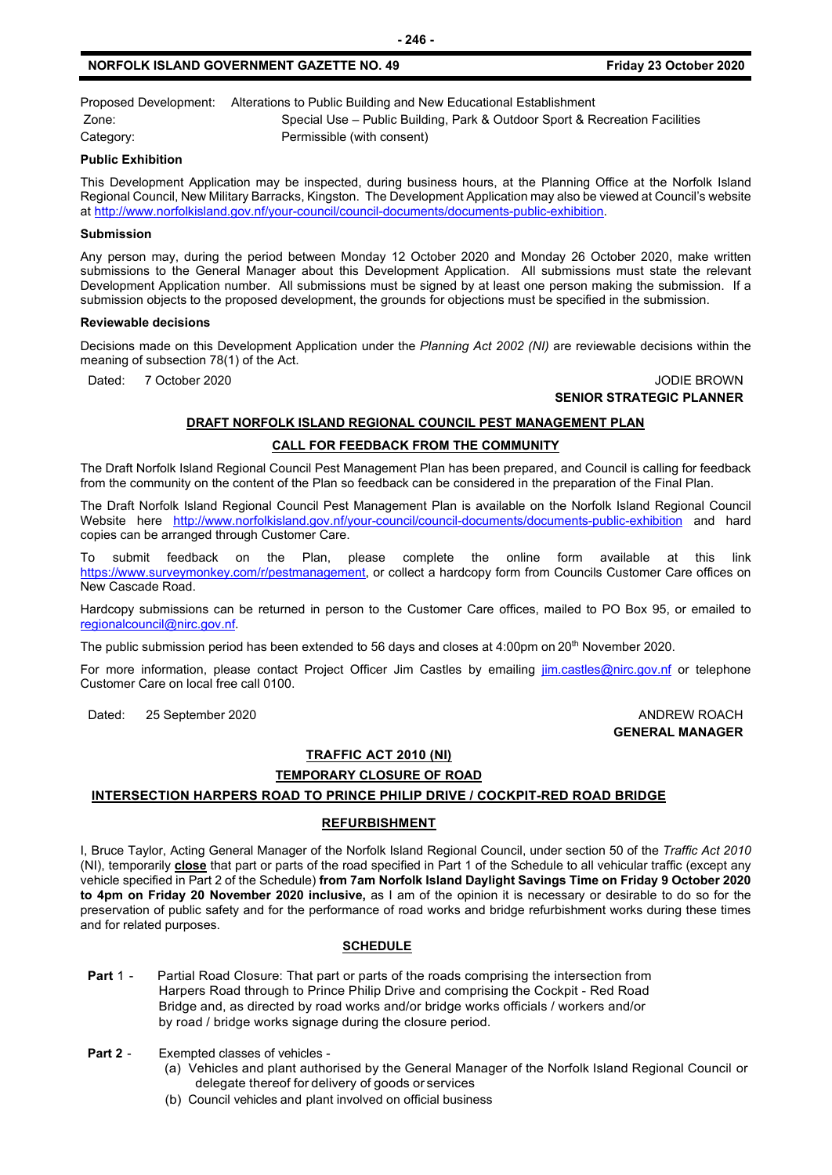### **NORFOLK ISLAND GOVERNMENT GAZETTE NO. 49 Friday 23 October 2020**

Proposed Development: Alterations to Public Building and New Educational Establishment Zone: Special Use – Public Building, Park & Outdoor Sport & Recreation Facilities Category: Permissible (with consent)

**Public Exhibition**

This Development Application may be inspected, during business hours, at the Planning Office at the Norfolk Island Regional Council, New Military Barracks, Kingston. The Development Application may also be viewed at Council's website a[t http://www.norfolkisland.gov.nf/your-council/council-documents/documents-public-exhibition.](http://www.norfolkisland.gov.nf/your-council/council-documents/documents-public-exhibition)

**- 246 -**

### **Submission**

Any person may, during the period between Monday 12 October 2020 and Monday 26 October 2020, make written submissions to the General Manager about this Development Application. All submissions must state the relevant Development Application number. All submissions must be signed by at least one person making the submission. If a submission objects to the proposed development, the grounds for objections must be specified in the submission.

### **Reviewable decisions**

Decisions made on this Development Application under the *Planning Act 2002 (NI)* are reviewable decisions within the meaning of subsection 78(1) of the Act.

Dated: 7 October 2020 JODIE BROWN

### **SENIOR STRATEGIC PLANNER**

### **DRAFT NORFOLK ISLAND REGIONAL COUNCIL PEST MANAGEMENT PLAN**

### **CALL FOR FEEDBACK FROM THE COMMUNITY**

The Draft Norfolk Island Regional Council Pest Management Plan has been prepared, and Council is calling for feedback from the community on the content of the Plan so feedback can be considered in the preparation of the Final Plan.

The Draft Norfolk Island Regional Council Pest Management Plan is available on the Norfolk Island Regional Council Website here <http://www.norfolkisland.gov.nf/your-council/council-documents/documents-public-exhibition> and hard copies can be arranged through Customer Care.

To submit feedback on the Plan, please complete the online form available at this link [https://www.surveymonkey.com/r/pestmanagement,](https://www.surveymonkey.com/r/pestmanagement) or collect a hardcopy form from Councils Customer Care offices on New Cascade Road.

Hardcopy submissions can be returned in person to the Customer Care offices, mailed to PO Box 95, or emailed to [regionalcouncil@nirc.gov.nf.](mailto:regionalcouncil@nirc.gov.nf)

The public submission period has been extended to 56 days and closes at 4:00pm on 20<sup>th</sup> November 2020.

For more information, please contact Project Officer Jim Castles by emailing [jim.castles@nirc.gov.nf](mailto:jim.castles@nirc.gov.nf) or telephone Customer Care on local free call 0100.

Dated: 25 September 2020 **ANDREW ROACH ANDREW ROACH** 

## **GENERAL MANAGER**

### **TRAFFIC ACT 2010 (NI)**

### **TEMPORARY CLOSURE OF ROAD**

### **INTERSECTION HARPERS ROAD TO PRINCE PHILIP DRIVE / COCKPIT-RED ROAD BRIDGE**

### **REFURBISHMENT**

I, Bruce Taylor, Acting General Manager of the Norfolk Island Regional Council, under section 50 of the *Traffic Act 2010* (NI), temporarily **close** that part or parts of the road specified in Part 1 of the Schedule to all vehicular traffic (except any vehicle specified in Part 2 of the Schedule) **from 7am Norfolk Island Daylight Savings Time on Friday 9 October 2020 to 4pm on Friday 20 November 2020 inclusive,** as I am of the opinion it is necessary or desirable to do so for the preservation of public safety and for the performance of road works and bridge refurbishment works during these times and for related purposes.

### **SCHEDULE**

**Part 1 -** Partial Road Closure: That part or parts of the roads comprising the intersection from Harpers Road through to Prince Philip Drive and comprising the Cockpit - Red Road Bridge and, as directed by road works and/or bridge works officials / workers and/or by road / bridge works signage during the closure period.

- **Part 2** Exempted classes of vehicles
	- (a) Vehicles and plant authorised by the General Manager of the Norfolk Island Regional Council or delegate thereof for delivery of goods or services
	- (b) Council vehicles and plant involved on official business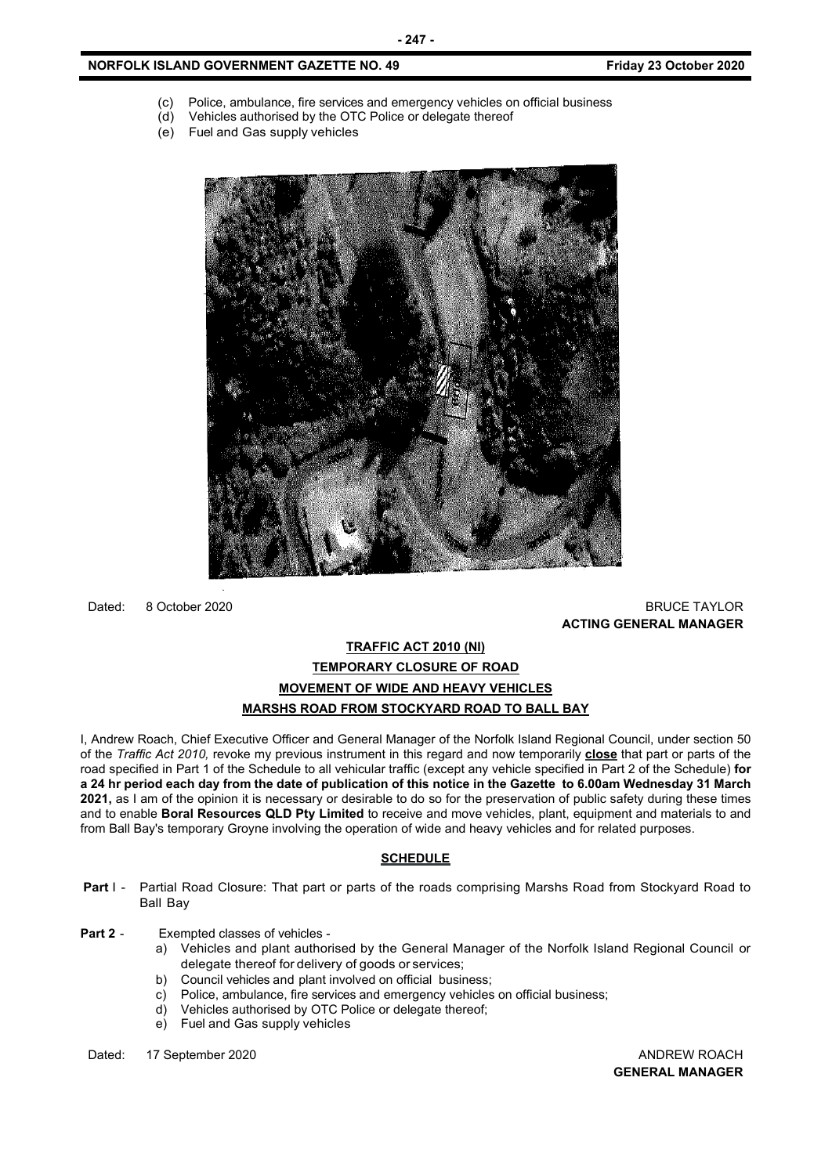### **NORFOLK ISLAND GOVERNMENT GAZETTE NO. 49** *CONSERVERSION Friday 23 October 2020*

- (c) Police, ambulance, fire services and emergency vehicles on official business (d) Vehicles authorised by the OTC Police or delegate thereof
- Vehicles authorised by the OTC Police or delegate thereof
- 



Dated: 8 October 2020 BRUCE TAYLOR

**ACTING GENERAL MANAGER**

### **TRAFFIC ACT 2010 (NI) TEMPORARY CLOSURE OF ROAD MOVEMENT OF WIDE AND HEAVY VEHICLES MARSHS ROAD FROM STOCKYARD ROAD TO BALL BAY**

I, Andrew Roach, Chief Executive Officer and General Manager of the Norfolk Island Regional Council, under section 50 of the *Traffic Act 2010,* revoke my previous instrument in this regard and now temporarily **close** that part or parts of the road specified in Part 1 of the Schedule to all vehicular traffic (except any vehicle specified in Part 2 of the Schedule) **for a 24 hr period each day from the date of publication of this notice in the Gazette to 6.00am Wednesday 31 March 2021,** as I am of the opinion it is necessary or desirable to do so for the preservation of public safety during these times and to enable **Boral Resources QLD Pty Limited** to receive and move vehicles, plant, equipment and materials to and from Ball Bay's temporary Groyne involving the operation of wide and heavy vehicles and for related purposes.

### **SCHEDULE**

- **Part I -** Partial Road Closure: That part or parts of the roads comprising Marshs Road from Stockyard Road to Ball Bay
- **Part 2** Exempted classes of vehicles
	- a) Vehicles and plant authorised by the General Manager of the Norfolk Island Regional Council or delegate thereof for delivery of goods or services;
	- b) Council vehicles and plant involved on official business;
	- c) Police, ambulance, fire services and emergency vehicles on official business;
	- d) Vehicles authorised by OTC Police or delegate thereof;
	- e) Fuel and Gas supply vehicles

Dated: 17 September 2020 **ANDREW ROACH CONSIDERER AND ANDREW ROACH** 

**GENERAL MANAGER**

(e) Fuel and Gas supply vehicles